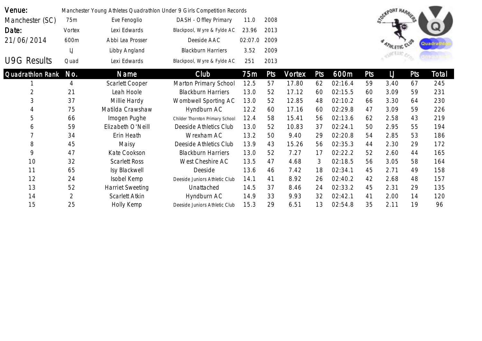| Venue:             |                |                         | Manchester Young Athletes Quadrathlon Under 9 Girls Competition Records |                 |      |        |     |         |            |                         |     |       |
|--------------------|----------------|-------------------------|-------------------------------------------------------------------------|-----------------|------|--------|-----|---------|------------|-------------------------|-----|-------|
| Manchester (SC)    | 75m            | Eve Fenoglio            | DASH - Offley Primary                                                   | 11.0            | 2008 |        |     |         |            | <b>OGKPORT HARRIERS</b> |     |       |
| Date:              | Vortex         | Lexi Edwards            | Blackpool, Wyre & Fylde AC                                              | 23.96           | 2013 |        |     |         |            |                         |     |       |
| 21/06/2014         | 600m           | Abbi Lea Prosser        | Deeside AAC                                                             | 02:07.0         | 2009 |        |     |         |            |                         |     | Quadr |
|                    | $\bigcup$      | Libby Angland           | <b>Blackburn Harriers</b>                                               | 3.52            | 2009 |        |     |         |            |                         |     |       |
| <b>U9G Results</b> | Quad           | Lexi Edwards            | Blackpool, Wyre & Fylde AC                                              | 251             | 2013 |        |     |         |            |                         |     |       |
| Quadrathlon Rank   | No.            | Name                    | Club                                                                    | 75 <sub>m</sub> | Pts  | Vortex | Pts | 600m    | <b>Pts</b> | $\cup$                  | Pts | Total |
|                    | 4              | Scarlett Cooper         | Marton Primary School                                                   | 12.5            | 57   | 17.80  | 62  | 02:16.4 | 59         | 3.40                    | 67  | 245   |
| $\overline{2}$     | 21             | Leah Hoole              | <b>Blackburn Harriers</b>                                               | 13.0            | 52   | 17.12  | 60  | 02:15.5 | 60         | 3.09                    | 59  | 231   |
| 3                  | 37             | Millie Hardy            | Wombwell Sporting AC                                                    | 13.0            | 52   | 12.85  | 48  | 02:10.2 | 66         | 3.30                    | 64  | 230   |
| 4                  | 75             | Matilda Crawshaw        | Hyndburn AC                                                             | 12.2            | 60   | 17.16  | 60  | 02:29.8 | 47         | 3.09                    | 59  | 226   |
| 5                  | 66             | Imogen Pughe            | Childer Thornton Primary School                                         | 12.4            | 58   | 15.41  | 56  | 02:13.6 | 62         | 2.58                    | 43  | 219   |
| 6                  | 59             | Elizabeth O'Neill       | Deeside Athletics Club                                                  | 13.0            | 52   | 10.83  | 37  | 02:24.1 | 50         | 2.95                    | 55  | 194   |
|                    | 34             | Erin Heath              | Wrexham AC                                                              | 13.2            | 50   | 9.40   | 29  | 02:20.8 | 54         | 2.85                    | 53  | 186   |
| 8                  | 45             | Maisy                   | Deeside Athletics Club                                                  | 13.9            | 43   | 15.26  | 56  | 02:35.3 | 44         | 2.30                    | 29  | 172   |
| 9                  | 47             | Kate Cookson            | <b>Blackburn Harriers</b>                                               | 13.0            | 52   | 7.27   | 17  | 02:22.2 | 52         | 2.60                    | 44  | 165   |
| 10                 | 32             | <b>Scarlett Ross</b>    | West Cheshire AC                                                        | 13.5            | 47   | 4.68   | 3   | 02:18.5 | 56         | 3.05                    | 58  | 164   |
| 11                 | 65             | Isy Blackwell           | Deeside                                                                 | 13.6            | 46   | 7.42   | 18  | 02:34.1 | 45         | 2.71                    | 49  | 158   |
| 12                 | 24             | Isobel Kemp             | Deeside Juniors Athletic Club                                           | 14.1            | 41   | 8.92   | 26  | 02:40.2 | 42         | 2.68                    | 48  | 157   |
| 13                 | 52             | <b>Harriet Sweeting</b> | Unattached                                                              | 14.5            | 37   | 8.46   | 24  | 02:33.2 | 45         | 2.31                    | 29  | 135   |
| 14                 | $\overline{2}$ | Scarlett Atkin          | Hyndburn AC                                                             | 14.9            | 33   | 9.93   | 32  | 02:42.1 | 41         | 2.00                    | 14  | 120   |
| 15                 | 25             | Holly Kemp              | Deeside Juniors Athletic Club                                           | 15.3            | 29   | 6.51   | 13  | 02:54.8 | 35         | 2.11                    | 19  | 96    |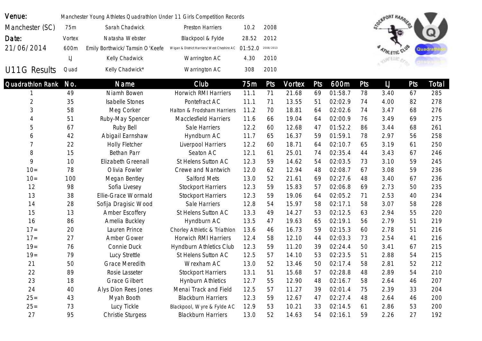| Venue:           |           | Manchester Young Athletes Quadrathlon Under 11 Girls Competition Records |                                            |         |           |        |     |         |            | <b>SOUTORT HARRIERS</b> |     |        |
|------------------|-----------|--------------------------------------------------------------------------|--------------------------------------------|---------|-----------|--------|-----|---------|------------|-------------------------|-----|--------|
| Manchester (SC)  | 75m       | Sarah Chadwick                                                           | Preston Harriers                           | 10.2    | 2008      |        |     |         |            |                         |     |        |
| Date:            | Vortex    | Natasha Webster                                                          | Blackpool & Fylde                          | 28.52   | 2012      |        |     |         |            |                         |     |        |
| 21/06/2014       | 600m      | Emily Borthwick/Tamsin O'Keefe                                           | Wigan & District Harriers/West Cheshire AC | 01:52.0 | 2008/2013 |        |     |         |            |                         |     | Quadra |
|                  | $\bigcup$ | Kelly Chadwick                                                           | Warrington AC                              | 4.30    | 2010      |        |     |         |            |                         |     |        |
| U11G Results     | Quad      | Kelly Chadwick*                                                          | Warrington AC                              | 308     | 2010      |        |     |         |            |                         |     |        |
| Quadrathlon Rank | No.       | Name                                                                     | Club                                       | 75m     | Pts       | Vortex | Pts | 600m    | <b>Pts</b> | $\cup$                  | Pts | Total  |
|                  | 49        | Niamh Bowen                                                              | <b>Horwich RMI Harriers</b>                | 11.1    | 71        | 21.68  | 69  | 01:58.7 | 78         | 3.40                    | 67  | 285    |
| $\mathbf{2}$     | 35        | <b>Isabelle Stones</b>                                                   | Pontefract AC                              | 11.1    | 71        | 13.55  | 51  | 02:02.9 | 74         | 4.00                    | 82  | 278    |
| 3                | 58        | Meg Corker                                                               | Halton & Frodsham Harriers                 | 11.2    | 70        | 18.81  | 64  | 02:02.6 | 74         | 3.47                    | 68  | 276    |
| 4                | 51        | Ruby-May Spencer                                                         | Macclesfield Harriers                      | 11.6    | 66        | 19.04  | 64  | 02:00.9 | 76         | 3.49                    | 69  | 275    |
| 5                | 67        | Ruby Bell                                                                | Sale Harriers                              | 12.2    | 60        | 12.68  | 47  | 01:52.2 | 86         | 3.44                    | 68  | 261    |
| 6                | 42        | Abigail Earnshaw                                                         | Hyndburn AC                                | 11.7    | 65        | 16.37  | 59  | 01:59.1 | 78         | 2.97                    | 56  | 258    |
| 7                | 22        | Holly Fletcher                                                           | Liverpool Harriers                         | 12.2    | 60        | 18.71  | 64  | 02:10.7 | 65         | 3.19                    | 61  | 250    |
| 8                | 15        | Bethan Parr                                                              | Seaton AC                                  | 12.1    | 61        | 25.01  | 74  | 02:35.4 | 44         | 3.43                    | 67  | 246    |
| 9                | 10        | Elizabeth Greenall                                                       | St Helens Sutton AC                        | 12.3    | 59        | 14.62  | 54  | 02:03.5 | 73         | 3.10                    | 59  | 245    |
| $10 =$           | 78        | Olivia Fowler                                                            | Crewe and Nantwich                         | 12.0    | 62        | 12.94  | 48  | 02:08.7 | 67         | 3.08                    | 59  | 236    |
| $10 =$           | 100       | Megan Bentley                                                            | Salford Mets                               | 13.0    | 52        | 21.61  | 69  | 02:27.6 | 48         | 3.40                    | 67  | 236    |
| 12               | 98        | Sofia Livesey                                                            | <b>Stockport Harriers</b>                  | 12.3    | 59        | 15.83  | 57  | 02:06.8 | 69         | 2.73                    | 50  | 235    |
| 13               | 38        | Ellie-Grace Wormald                                                      | <b>Stockport Harriers</b>                  | 12.3    | 59        | 19.06  | 64  | 02:05.2 | 71         | 2.53                    | 40  | 234    |
| 14               | 28        | Sofija Dragisic Wood                                                     | Sale Harriers                              | 12.8    | 54        | 15.97  | 58  | 02:17.1 | 58         | 3.07                    | 58  | 228    |
| 15               | 13        | Amber Escoffery                                                          | St Helens Sutton AC                        | 13.3    | 49        | 14.27  | 53  | 02:12.5 | 63         | 2.94                    | 55  | 220    |
| 16               | 86        | Amelia Buckley                                                           | Hyndburn AC                                | 13.5    | 47        | 19.63  | 65  | 02:19.1 | 56         | 2.79                    | 51  | 219    |
| $17=$            | 20        | Lauren Prince                                                            | Chorley Athletic & Triathlon               | 13.6    | 46        | 16.73  | 59  | 02:15.3 | 60         | 2.78                    | 51  | 216    |
| $17 =$           | 27        | Amber Gower                                                              | Horwich RMI Harriers                       | 12.4    | 58        | 12.10  | 44  | 02:03.3 | 73         | 2.54                    | 41  | 216    |
| $19 =$           | 76        | Connie Duck                                                              | Hyndburn Athletics Club                    | 12.3    | 59        | 11.20  | 39  | 02:24.4 | 50         | 3.41                    | 67  | 215    |
| $19 =$           | 79        | Lucy Strettle                                                            | St Helens Sutton AC                        | 12.5    | 57        | 14.10  | 53  | 02:23.5 | 51         | 2.88                    | 54  | 215    |
| 21               | 50        | <b>Grace Meredith</b>                                                    | Wrexham AC                                 | 13.0    | 52        | 13.46  | 50  | 02:17.4 | 58         | 2.81                    | 52  | 212    |
| 22               | 89        | Rosie Lasseter                                                           | <b>Stockport Harriers</b>                  | 13.1    | 51        | 15.68  | 57  | 02:28.8 | 48         | 2.89                    | 54  | 210    |
| 23               | 18        | <b>Grace Gilbert</b>                                                     | <b>Hynburn Athletics</b>                   | 12.7    | 55        | 12.90  | 48  | 02:16.7 | 58         | 2.64                    | 46  | 207    |
| 24               | 40        | Alys Dion Rees Jones                                                     | Menai Track and Field                      | 12.5    | 57        | 11.27  | 39  | 02:01.4 | 75         | 2.39                    | 33  | 204    |
| $25 =$           | 43        | Myah Booth                                                               | <b>Blackburn Harriers</b>                  | 12.3    | 59        | 12.67  | 47  | 02:27.4 | 48         | 2.64                    | 46  | 200    |
| $25 =$           | 73        | Lucy Tickle                                                              | Blackpool, Wyre & Fylde AC                 | 12.9    | 53        | 10.21  | 33  | 02:14.5 | 61         | 2.86                    | 53  | 200    |
| 27               | 95        | Christie Sturgess                                                        | <b>Blackburn Harriers</b>                  | 13.0    | 52        | 14.63  | 54  | 02:16.1 | 59         | 2.26                    | 27  | 192    |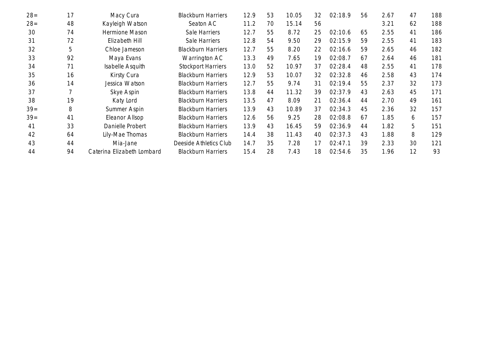| $28=$ | 17 | Macy Cura                  | <b>Blackburn Harriers</b> | 12.9 | 53 | 10.05 | 32 | 02:18.9 | 56 | 2.67 | 47 | 188 |
|-------|----|----------------------------|---------------------------|------|----|-------|----|---------|----|------|----|-----|
| $28=$ | 48 | Kayleigh Watson            | Seaton AC                 | 11.2 | 70 | 15.14 | 56 |         |    | 3.21 | 62 | 188 |
| 30    | 74 | Hermione Mason             | Sale Harriers             | 12.7 | 55 | 8.72  | 25 | 02:10.6 | 65 | 2.55 | 41 | 186 |
| 31    | 72 | Elizabeth Hill             | Sale Harriers             | 12.8 | 54 | 9.50  | 29 | 02:15.9 | 59 | 2.55 | 41 | 183 |
| 32    | 5  | Chloe Jameson              | <b>Blackburn Harriers</b> | 12.7 | 55 | 8.20  | 22 | 02:16.6 | 59 | 2.65 | 46 | 182 |
| 33    | 92 | Maya Evans                 | Warrington AC             | 13.3 | 49 | 7.65  | 19 | 02:08.7 | 67 | 2.64 | 46 | 181 |
| 34    | 71 | Isabelle Asquith           | <b>Stockport Harriers</b> | 13.0 | 52 | 10.97 | 37 | 02:28.4 | 48 | 2.55 | 41 | 178 |
| 35    | 16 | Kirsty Cura                | <b>Blackburn Harriers</b> | 12.9 | 53 | 10.07 | 32 | 02:32.8 | 46 | 2.58 | 43 | 174 |
| 36    | 14 | Jessica Watson             | <b>Blackburn Harriers</b> | 12.7 | 55 | 9.74  | 31 | 02:19.4 | 55 | 2.37 | 32 | 173 |
| 37    |    | Skye Aspin                 | <b>Blackburn Harriers</b> | 13.8 | 44 | 11.32 | 39 | 02:37.9 | 43 | 2.63 | 45 | 171 |
| 38    | 19 | Katy Lord                  | <b>Blackburn Harriers</b> | 13.5 | 47 | 8.09  | 21 | 02:36.4 | 44 | 2.70 | 49 | 161 |
| $39=$ | 8  | Summer Aspin               | <b>Blackburn Harriers</b> | 13.9 | 43 | 10.89 | 37 | 02:34.3 | 45 | 2.36 | 32 | 157 |
| $39=$ | 41 | Eleanor Allsop             | <b>Blackburn Harriers</b> | 12.6 | 56 | 9.25  | 28 | 02:08.8 | 67 | 1.85 | 6  | 157 |
| 41    | 33 | Danielle Probert           | <b>Blackburn Harriers</b> | 13.9 | 43 | 16.45 | 59 | 02:36.9 | 44 | 1.82 | 5  | 151 |
| 42    | 64 | Lily-Mae Thomas            | <b>Blackburn Harriers</b> | 14.4 | 38 | 11.43 | 40 | 02:37.3 | 43 | 1.88 | 8  | 129 |
| 43    | 44 | Mia-Jane                   | Deeside Athletics Club    | 14.7 | 35 | 7.28  | 17 | 02:47.1 | 39 | 2.33 | 30 | 121 |
| 44    | 94 | Caterina Elizabeth Lombard | <b>Blackburn Harriers</b> | 15.4 | 28 | 7.43  | 18 | 02:54.6 | 35 | 1.96 | 12 | 93  |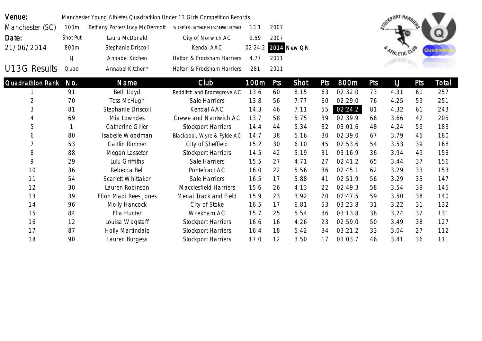| Venue:              |           | Manchester Young Athletes Quadrathlon Under 13 Girls Competition Records |                                        |         |      |             |     |         |     | <b>SOUTORT HARRIERS</b> |     |         |
|---------------------|-----------|--------------------------------------------------------------------------|----------------------------------------|---------|------|-------------|-----|---------|-----|-------------------------|-----|---------|
| Manchester (SC)     | 100m      | Bethany Porter/Lucy McDermott                                            | Wakefield Harriers/Manchester Harriers | 13.1    | 2007 |             |     |         |     |                         |     |         |
| Date:               | Shot Put  | Laura McDonald                                                           | City of Norwich AC                     | 9.59    | 2007 |             |     |         |     |                         |     |         |
| 21/06/2014          | 800m      | Stephanie Driscoll                                                       | Kendal AAC                             | 02:24.2 |      | 2014 New QR |     |         |     |                         |     | Quadrat |
|                     | $\bigcup$ | Annabel Kitchen                                                          | Halton & Frodsham Harriers             | 4.77    | 2011 |             |     |         |     | <b>ATHLETIC</b>         |     |         |
| <b>U13G Results</b> | Quad      | Annabel Kitchen*                                                         | Halton & Frodsham Harriers             | 281     | 2011 |             |     |         |     |                         |     |         |
| Quadrathlon Rank    | No.       | <b>Name</b>                                                              | Club                                   | 100m    | Pts  | Shot        | Pts | 800m    | Pts | $\bigcup$               | Pts | Total   |
|                     | 91        | Beth Lloyd                                                               | Redditch and Bromsgrove AC             | 13.6    | 60   | 8.15        | 63  | 02:32.0 | 73  | 4.31                    | 61  | 257     |
| $\mathbf{2}$        | 70        | <b>Tess McHugh</b>                                                       | Sale Harriers                          | 13.8    | 56   | 7.77        | 60  | 02:29.0 | 76  | 4.25                    | 59  | 251     |
| 3                   | 81        | Stephanie Driscoll                                                       | Kendal AAC                             | 14.3    | 46   | 7.11        | 55  | 02:24.2 | 81  | 4.32                    | 61  | 243     |
|                     | 69        | Mia Lowndes                                                              | Crewe and Nantwich AC                  | 13.7    | 58   | 5.75        | 39  | 02:39.9 | 66  | 3.66                    | 42  | 205     |
| 5                   |           | Catherine Giller                                                         | <b>Stockport Harriers</b>              | 14.4    | 44   | 5.34        | 32  | 03:01.6 | 48  | 4.24                    | 59  | 183     |
| 6                   | 80        | Isabelle Woodman                                                         | Blackpool, Wyre & Fylde AC             | 14.7    | 38   | 5.16        | 30  | 02:39.0 | 67  | 3.79                    | 45  | 180     |
|                     | 53        | Caitlin Rimmer                                                           | City of Sheffield                      | 15.2    | 30   | 6.10        | 45  | 02:53.6 | 54  | 3.53                    | 39  | 168     |
| 8                   | 88        | Megan Lasseter                                                           | <b>Stockport Harriers</b>              | 14.5    | 42   | 5.19        | 31  | 03:16.9 | 36  | 3.94                    | 49  | 158     |
| 9                   | 29        | Lulu Griffiths                                                           | Sale Harriers                          | 15.5    | 27   | 4.71        | 27  | 02:41.2 | 65  | 3.44                    | 37  | 156     |
| 10                  | 36        | Rebecca Bell                                                             | Pontefract AC                          | 16.0    | 22   | 5.56        | 36  | 02:45.1 | 62  | 3.29                    | 33  | 153     |
| 11                  | 54        | Scarlett Whittaker                                                       | Sale Harriers                          | 16.5    | 17   | 5.88        | 41  | 02:51.9 | 56  | 3.29                    | 33  | 147     |
| 12                  | 30        | Lauren Robinson                                                          | Macclesfield Harriers                  | 15.6    | 26   | 4.13        | 22  | 02:49.3 | 58  | 3.54                    | 39  | 145     |
| 13                  | 39        | Ffion Madi Rees Jones                                                    | Menai Track and Field                  | 15.9    | 23   | 3.92        | 20  | 02:47.5 | 59  | 3.50                    | 38  | 140     |
| 14                  | 96        | Molly Hancock                                                            | City of Stoke                          | 16.5    | 17   | 6.81        | 53  | 03:23.8 | 31  | 3.22                    | 31  | 132     |
| 15                  | 84        | Ella Hunter                                                              | Wrexham AC                             | 15.7    | 25   | 5.54        | 36  | 03:13.8 | 38  | 3.24                    | 32  | 131     |
| 16                  | 12        | Louisa Wagstaff                                                          | <b>Stockport Harriers</b>              | 16.6    | 16   | 4.26        | 23  | 02:59.0 | 50  | 3.49                    | 38  | 127     |
| 17                  | 87        | Holly Martindale                                                         | <b>Stockport Harriers</b>              | 16.4    | 18   | 5.42        | 34  | 03:21.2 | 33  | 3.04                    | 27  | 112     |
| 18                  | 90        | Lauren Burgess                                                           | <b>Stockport Harriers</b>              | 17.0    | 12   | 3.50        | 17  | 03:03.7 | 46  | 3.41                    | 36  | 111     |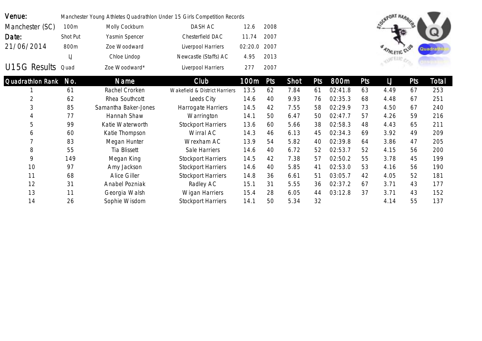| Venue:            | Manchester Young Athletes Quadrathlon Under 15 Girls Competition Records |                |                       |              |      |  |  |  |  |  |  |
|-------------------|--------------------------------------------------------------------------|----------------|-----------------------|--------------|------|--|--|--|--|--|--|
| Manchester (SC)   | 100m                                                                     | Molly Cockburn | DASH AC               | 12.6         | 2008 |  |  |  |  |  |  |
| Date:             | Shot Put                                                                 | Yasmin Spencer | Chesterfield DAC      | 11.74        | 2007 |  |  |  |  |  |  |
| 21/06/2014        | 800m                                                                     | Zoe Woodward   | Liverpool Harriers    | 02:20.0 2007 |      |  |  |  |  |  |  |
|                   | IJ                                                                       | Chloe Lindop   | Newcastle (Staffs) AC | 4.95         | 2013 |  |  |  |  |  |  |
| U15G Results Quad |                                                                          | Zoe Woodward*  | Liverpool Harriers    | 277          | 2007 |  |  |  |  |  |  |



| Quadrathlon Rank | No. | <b>Name</b>          | Club                          | 100m | Pts | Shot | Pts | 800m    | Pts | IJ   | Pts | Total |
|------------------|-----|----------------------|-------------------------------|------|-----|------|-----|---------|-----|------|-----|-------|
|                  | 61  | Rachel Crorken       | Wakefield & District Harriers | 13.5 | 62  | 7.84 | 61  | 02:41.8 | 63  | 4.49 | 67  | 253   |
|                  | 62  | Rhea Southcott       | Leeds City                    | 14.6 | 40  | 9.93 | 76  | 02:35.3 | 68  | 4.48 | 67  | 251   |
| 3                | 85  | Samantha Baker-Jones | Harrogate Harriers            | 14.5 | 42  | 7.55 | 58  | 02:29.9 | 73  | 4.50 | 67  | 240   |
| 4                | 77  | Hannah Shaw          | Warrington                    | 14.1 | 50  | 6.47 | 50  | 02:47.7 | 57  | 4.26 | 59  | 216   |
| 5                | 99  | Katie Waterworth     | <b>Stockport Harriers</b>     | 13.6 | 60  | 5.66 | 38  | 02:58.3 | 48  | 4.43 | 65  | 211   |
| 6                | 60  | Katie Thompson       | Wirral AC                     | 14.3 | 46  | 6.13 | 45  | 02:34.3 | 69  | 3.92 | 49  | 209   |
|                  | 83  | Megan Hunter         | Wrexham AC                    | 13.9 | 54  | 5.82 | 40  | 02:39.8 | 64  | 3.86 | 47  | 205   |
| 8                | 55  | Tia Blissett         | Sale Harriers                 | 14.6 | 40  | 6.72 | 52  | 02:53.7 | 52  | 4.15 | 56  | 200   |
| 9                | 149 | Megan King           | <b>Stockport Harriers</b>     | 14.5 | 42  | 7.38 | 57  | 02:50.2 | 55  | 3.78 | 45  | 199   |
| 10               | 97  | Amy Jackson          | <b>Stockport Harriers</b>     | 14.6 | 40  | 5.85 | 41  | 02:53.0 | 53  | 4.16 | 56  | 190   |
| 11               | 68  | Alice Giller         | <b>Stockport Harriers</b>     | 14.8 | 36  | 6.61 | 51  | 03:05.7 | 42  | 4.05 | 52  | 181   |
| 12               | 31  | Anabel Pozniak       | Radley AC                     | 15.1 | 31  | 5.55 | 36  | 02:37.2 | 67  | 3.71 | 43  | 177   |
| 13               | 11  | Georgia Walsh        | <b>Wigan Harriers</b>         | 15.4 | 28  | 6.05 | 44  | 03:12.8 | 37  | 3.71 | 43  | 152   |
| 14               | 26  | Sophie Wisdom        | <b>Stockport Harriers</b>     | 14.1 | 50  | 5.34 | 32  |         |     | 4.14 | 55  | 137   |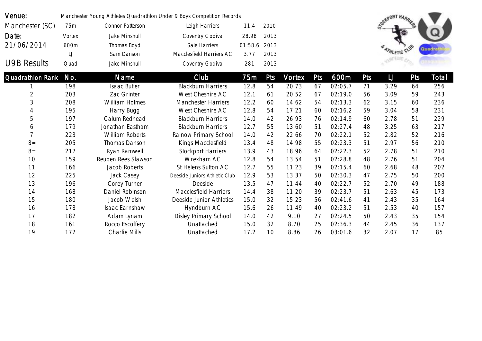| Venue:                  |                   | Manchester Young Athletes Quadrathlon Under 9 Boys Competition Records |                               |         |      |        |     |         |     | <b>OGNPORT HARRIERS</b> |            |        |
|-------------------------|-------------------|------------------------------------------------------------------------|-------------------------------|---------|------|--------|-----|---------|-----|-------------------------|------------|--------|
| Manchester (SC)         | 75m               | Connor Patterson                                                       | Leigh Harriers                | 11.4    | 2010 |        |     |         |     |                         |            |        |
| Date:                   | Vortex            | Jake Minshull                                                          | Coventry Godiva               | 28.98   | 2013 |        |     |         |     |                         |            |        |
| 21/06/2014              | 600m              | Thomas Boyd                                                            | Sale Harriers                 | 01:58.6 | 2013 |        |     |         |     |                         |            |        |
|                         | $\lfloor \rfloor$ | Sam Danson                                                             | Macclesfield Harriers AC      | 3.77    | 2013 |        |     |         |     | <b>ATHLETIC</b>         |            | Quadra |
| <b>U9B Results</b>      | Quad              | Jake Minshull                                                          | Coventry Godiva               | 281     | 2013 |        |     |         |     |                         |            |        |
| <b>Quadrathion Rank</b> | No.               | <b>Name</b>                                                            | Club                          | 75m     | Pts  | Vortex | Pts | 600m    | Pts | $\lfloor \int$          | <b>Pts</b> | Total  |
|                         | 198               | Isaac Butler                                                           | <b>Blackburn Harriers</b>     | 12.8    | 54   | 20.73  | 67  | 02:05.7 | 71  | 3.29                    | 64         | 256    |
| $\overline{2}$          | 203               | Zac Grinter                                                            | West Cheshire AC              | 12.1    | 61   | 20.52  | 67  | 02:19.0 | 56  | 3.09                    | 59         | 243    |
| 3                       | 208               | William Holmes                                                         | <b>Manchester Harriers</b>    | 12.2    | 60   | 14.62  | 54  | 02:13.3 | 62  | 3.15                    | 60         | 236    |
| 4                       | 195               | Harry Bugg                                                             | West Cheshire AC              | 12.8    | 54   | 17.21  | 60  | 02:16.2 | 59  | 3.04                    | 58         | 231    |
| 5                       | 197               | Calum Redhead                                                          | <b>Blackburn Harriers</b>     | 14.0    | 42   | 26.93  | 76  | 02:14.9 | 60  | 2.78                    | 51         | 229    |
| 6                       | 179               | Jonathan Eastham                                                       | <b>Blackburn Harriers</b>     | 12.7    | 55   | 13.60  | 51  | 02:27.4 | 48  | 3.25                    | 63         | 217    |
| $\overline{7}$          | 223               | <b>William Roberts</b>                                                 | Rainow Primary School         | 14.0    | 42   | 22.66  | 70  | 02:22.1 | 52  | 2.82                    | 52         | 216    |
| $8=$                    | 205               | Thomas Danson                                                          | Kings Macclesfield            | 13.4    | 48   | 14.98  | 55  | 02:23.3 | 51  | 2.97                    | 56         | 210    |
| $8=$                    | 217               | Ryan Ramwell                                                           | <b>Stockport Harriers</b>     | 13.9    | 43   | 18.96  | 64  | 02:22.3 | 52  | 2.78                    | 51         | 210    |
| 10                      | 159               | Reuben Rees Slawson                                                    | Wrexham AC                    | 12.8    | 54   | 13.54  | 51  | 02:28.8 | 48  | 2.76                    | 51         | 204    |
| 11                      | 166               | Jacob Roberts                                                          | St Helens Sutton AC           | 12.7    | 55   | 11.23  | 39  | 02:15.4 | 60  | 2.68                    | 48         | 202    |
| 12                      | 225               | Jack Casey                                                             | Deeside Juniors Athletic Club | 12.9    | 53   | 13.37  | 50  | 02:30.3 | 47  | 2.75                    | 50         | 200    |
| 13                      | 196               | Corey Turner                                                           | Deeside                       | 13.5    | 47   | 11.44  | 40  | 02:22.7 | 52  | 2.70                    | 49         | 188    |
| 14                      | 168               | Daniel Robinson                                                        | <b>Macclesfield Harriers</b>  | 14.4    | 38   | 11.20  | 39  | 02:23.7 | 51  | 2.63                    | 45         | 173    |
| 15                      | 180               | Jacob Welsh                                                            | Deeside Junior Athletics      | 15.0    | 32   | 15.23  | 56  | 02:41.6 | 41  | 2.43                    | 35         | 164    |
| 16                      | 178               | Isaac Earnshaw                                                         | Hyndburn AC                   | 15.6    | 26   | 11.49  | 40  | 02:23.2 | 51  | 2.53                    | 40         | 157    |
| 17                      | 182               | Adam Lynam                                                             | Disley Primary School         | 14.0    | 42   | 9.10   | 27  | 02:24.5 | 50  | 2.43                    | 35         | 154    |
| 18                      | 161               | Rocco Escoffery                                                        | Unattached                    | 15.0    | 32   | 8.70   | 25  | 02:36.3 | 44  | 2.45                    | 36         | 137    |
| 19                      | 172               | <b>Charlie Mills</b>                                                   | Unattached                    | 17.2    | 10   | 8.86   | 26  | 03:01.6 | 32  | 2.07                    | 17         | 85     |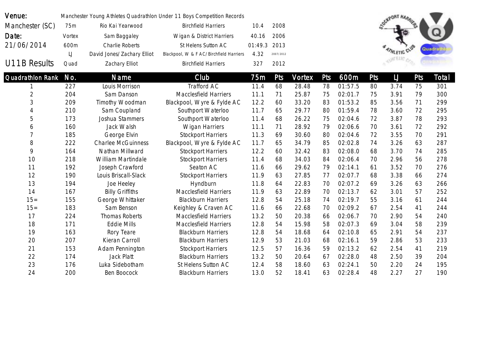| Venue:           |                   |                            | Manchester Young Athletes Quadrathlon Under 11 Boys Competition Records |         |            |               |            |         |     | OGHPORT HARRIES |            |        |
|------------------|-------------------|----------------------------|-------------------------------------------------------------------------|---------|------------|---------------|------------|---------|-----|-----------------|------------|--------|
| Manchester (SC)  | 75m               | Rio Kai Yearwood           | <b>Birchfield Harriers</b>                                              | 10.4    | 2008       |               |            |         |     |                 |            |        |
| Date:            | Vortex            | Sam Baggaley               | Wigan & District Harriers                                               | 40.16   | 2006       |               |            |         |     |                 |            |        |
| 21/06/2014       | 600m              | Charlie Roberts            | St Helens Sutton AC                                                     | 01:49.3 | 2013       |               |            |         |     |                 |            | Quadra |
|                  | $\lfloor \rfloor$ | David Jones/Zachary Elliot | Blackpool, W & F AC/Birchfield Harriers                                 | 4.32    | 2007/2012  |               |            |         |     |                 |            |        |
| U11B Results     | Quad              | Zachary Elliot             | <b>Birchfield Harriers</b>                                              | 327     | 2012       |               |            |         |     |                 |            |        |
| Quadrathlon Rank | No.               | Name                       | Club                                                                    | 75m     | <b>Pts</b> | <b>Vortex</b> | <b>Pts</b> | 600m    | Pts | $\cup$          | <b>Pts</b> | Total  |
|                  | 227               | Louis Morrison             | Trafford AC                                                             | 11.4    | 68         | 28.48         | 78         | 01:57.5 | 80  | 3.74            | 75         | 301    |
| $\overline{2}$   | 204               | Sam Danson                 | <b>Macclesfield Harriers</b>                                            | 11.1    | 71         | 25.87         | 75         | 02:01.7 | 75  | 3.91            | 79         | 300    |
| 3                | 209               | Timothy Woodman            | Blackpool, Wyre & Fylde AC                                              | 12.2    | 60         | 33.20         | 83         | 01:53.2 | 85  | 3.56            | 71         | 299    |
| $\overline{A}$   | 210               | Sam Coupland               | Southport Waterloo                                                      | 11.7    | 65         | 29.77         | 80         | 01:59.4 | 78  | 3.60            | 72         | 295    |
| 5                | 173               | Joshua Stammers            | Southport Waterloo                                                      | 11.4    | 68         | 26.22         | 75         | 02:04.6 | 72  | 3.87            | 78         | 293    |
| 6                | 160               | Jack Walsh                 | Wigan Harriers                                                          | 11.1    | 71         | 28.92         | 79         | 02:06.6 | 70  | 3.61            | 72         | 292    |
| 7                | 185               | George Elvin               | <b>Stockport Harriers</b>                                               | 11.3    | 69         | 30.60         | 80         | 02:04.6 | 72  | 3.55            | 70         | 291    |
| 8                | 222               | <b>Charlee McGuinness</b>  | Blackpool, Wyre & Fylde AC                                              | 11.7    | 65         | 34.79         | 85         | 02:02.8 | 74  | 3.26            | 63         | 287    |
| 9                | 164               | Nathan Millward            | <b>Stockport Harriers</b>                                               | 12.2    | 60         | 32.42         | 83         | 02:08.0 | 68  | 3.70            | 74         | 285    |
| 10               | 218               | William Martindale         | <b>Stockport Harriers</b>                                               | 11.4    | 68         | 34.03         | 84         | 02:06.4 | 70  | 2.96            | 56         | 278    |
| 11               | 192               | Joseph Crawford            | Seaton AC                                                               | 11.6    | 66         | 29.62         | 79         | 02:14.1 | 61  | 3.52            | 70         | 276    |
| 12               | 190               | Louis Briscall-Slack       | <b>Stockport Harriers</b>                                               | 11.9    | 63         | 27.85         | 77         | 02:07.7 | 68  | 3.38            | 66         | 274    |
| 13               | 194               | Joe Heeley                 | Hyndburn                                                                | 11.8    | 64         | 22.83         | 70         | 02:07.2 | 69  | 3.26            | 63         | 266    |
| 14               | 167               | <b>Billy Griffiths</b>     | <b>Macclesfield Harriers</b>                                            | 11.9    | 63         | 22.89         | 70         | 02:13.7 | 62  | 3.01            | 57         | 252    |
| $15 =$           | 155               | George Whittaker           | <b>Blackburn Harriers</b>                                               | 12.8    | 54         | 25.18         | 74         | 02:19.7 | 55  | 3.16            | 61         | 244    |
| $15 =$           | 183               | Sam Benson                 | Keighley & Craven AC                                                    | 11.6    | 66         | 22.68         | 70         | 02:09.2 | 67  | 2.54            | 41         | 244    |
| 17               | 224               | <b>Thomas Roberts</b>      | Macclesfield Harriers                                                   | 13.2    | 50         | 20.38         | 66         | 02:06.7 | 70  | 2.90            | 54         | 240    |
| 18               | 171               | <b>Eddie Mills</b>         | <b>Macclesfield Harriers</b>                                            | 12.8    | 54         | 15.98         | 58         | 02:07.3 | 69  | 3.04            | 58         | 239    |
| 19               | 163               | Rory Teare                 | <b>Blackburn Harriers</b>                                               | 12.8    | 54         | 18.68         | 64         | 02:10.8 | 65  | 2.91            | 54         | 237    |
| 20               | 207               | Kieran Carroll             | <b>Blackburn Harriers</b>                                               | 12.9    | 53         | 21.03         | 68         | 02:16.1 | 59  | 2.86            | 53         | 233    |
| 21               | 153               | Adam Pennington            | <b>Stockport Harriers</b>                                               | 12.5    | 57         | 16.36         | 59         | 02:13.2 | 62  | 2.54            | 41         | 219    |
| 22               | 174               | Jack Platt                 | <b>Blackburn Harriers</b>                                               | 13.2    | 50         | 20.64         | 67         | 02:28.0 | 48  | 2.50            | 39         | 204    |
| 23               | 176               | Luka Sidebotham            | St Helens Sutton AC                                                     | 12.4    | 58         | 18.60         | 63         | 02:24.1 | 50  | 2.20            | 24         | 195    |
| 24               | 200               | Ben Boocock                | <b>Blackburn Harriers</b>                                               | 13.0    | 52         | 18.41         | 63         | 02:28.4 | 48  | 2.27            | 27         | 190    |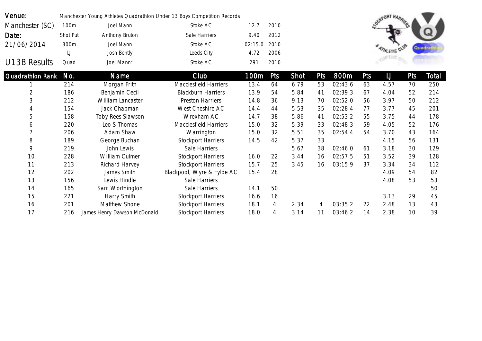| Venue:                  |          | Manchester Young Athletes Quadrathlon Under 13 Boys Competition Records |                            |         |      |      |     |         |     | <b>OCKPORT HARR</b> |     |        |
|-------------------------|----------|-------------------------------------------------------------------------|----------------------------|---------|------|------|-----|---------|-----|---------------------|-----|--------|
| Manchester (SC)         | 100m     | Joel Mann                                                               | Stoke AC                   | 12.7    | 2010 |      |     |         |     |                     |     |        |
| Date:                   | Shot Put | Anthony Bruton                                                          | Sale Harriers              | 9.40    | 2012 |      |     |         |     |                     |     |        |
| 21/06/2014              | 800m     | Joel Mann                                                               | Stoke AC                   | 02:15.0 | 2010 |      |     |         |     |                     |     | Quadra |
|                         | IJ       | Josh Bently                                                             | Leeds City                 | 4.72    | 2006 |      |     |         |     |                     |     |        |
| U13B Results            | Quad     | Joel Mann*                                                              | Stoke AC                   | 291     | 2010 |      |     |         |     |                     |     |        |
| <b>Quadrathlon Rank</b> | No.      | Name                                                                    | Club                       | 100m    | Pts  | Shot | Pts | 800m    | Pts | $\sqcup$            | Pts | Total  |
|                         | 214      | Morgan Frith                                                            | Macclesfield Harriers      | 13.4    | 64   | 6.79 | 53  | 02:43.6 | 63  | 4.57                | 70  | 250    |
| $\overline{2}$          | 186      | Benjamin Cecil                                                          | <b>Blackburn Harriers</b>  | 13.9    | 54   | 5.84 | 41  | 02:39.3 | 67  | 4.04                | 52  | 214    |
| 3                       | 212      | William Lancaster                                                       | <b>Preston Harriers</b>    | 14.8    | 36   | 9.13 | 70  | 02:52.0 | 56  | 3.97                | 50  | 212    |
| 4                       | 154      | Jack Chapman                                                            | West Cheshire AC           | 14.4    | 44   | 5.53 | 35  | 02:28.4 | 77  | 3.77                | 45  | 201    |
| 5                       | 158      | Toby Rees Slawson                                                       | Wrexham AC                 | 14.7    | 38   | 5.86 | 41  | 02:53.2 | 55  | 3.75                | 44  | 178    |
| 6                       | 220      | Leo S Thomas                                                            | Macclesfield Harriers      | 15.0    | 32   | 5.39 | 33  | 02:48.3 | 59  | 4.05                | 52  | 176    |
|                         | 206      | Adam Shaw                                                               | Warrington                 | 15.0    | 32   | 5.51 | 35  | 02:54.4 | 54  | 3.70                | 43  | 164    |
| 8                       | 189      | George Buchan                                                           | <b>Stockport Harriers</b>  | 14.5    | 42   | 5.37 | 33  |         |     | 4.15                | 56  | 131    |
| 9                       | 219      | John Lewis                                                              | Sale Harriers              |         |      | 5.67 | 38  | 02:46.0 | 61  | 3.18                | 30  | 129    |
| 10                      | 228      | William Culmer                                                          | <b>Stockport Harriers</b>  | 16.0    | 22   | 3.44 | 16  | 02:57.5 | 51  | 3.52                | 39  | 128    |
| 11                      | 213      | Richard Harvey                                                          | <b>Stockport Harriers</b>  | 15.7    | 25   | 3.45 | 16  | 03:15.9 | 37  | 3.34                | 34  | 112    |
| 12                      | 202      | James Smith                                                             | Blackpool, Wyre & Fylde AC | 15.4    | 28   |      |     |         |     | 4.09                | 54  | 82     |
| 13                      | 156      | Lewis Hindle                                                            | Sale Harriers              |         |      |      |     |         |     | 4.08                | 53  | 53     |
| 14                      | 165      | Sam Worthington                                                         | Sale Harriers              | 14.1    | 50   |      |     |         |     |                     |     | 50     |
| 15                      | 221      | Harry Smith                                                             | <b>Stockport Harriers</b>  | 16.6    | 16   |      |     |         |     | 3.13                | 29  | 45     |
| 16                      | 201      | Matthew Shone                                                           | <b>Stockport Harriers</b>  | 18.1    | 4    | 2.34 | 4   | 03:35.2 | 22  | 2.48                | 13  | 43     |
| 17                      | 216      | James Henry Dawson McDonald                                             | <b>Stockport Harriers</b>  | 18.0    | 4    | 3.14 | 11  | 03:46.2 | 14  | 2.38                | 10  | 39     |